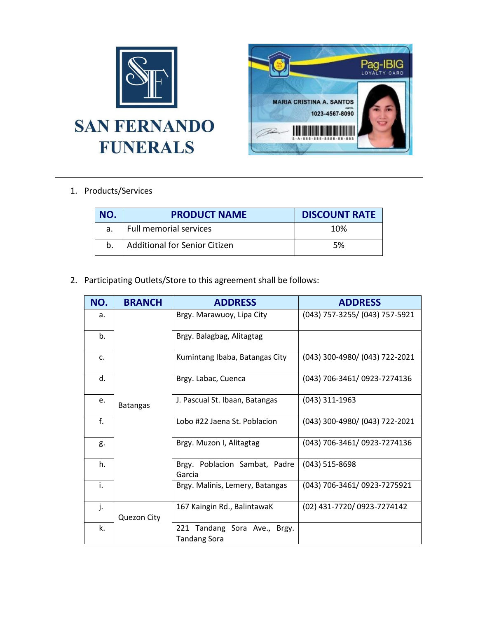

## 1. Products/Services

| NO. | <b>PRODUCT NAME</b>                  | <b>DISCOUNT RATE</b> |
|-----|--------------------------------------|----------------------|
|     | Full memorial services               | 10%                  |
| b.  | <b>Additional for Senior Citizen</b> | .5%                  |

2. Participating Outlets/Store to this agreement shall be follows:

| NO.            | <b>BRANCH</b>   | <b>ADDRESS</b>                                         | <b>ADDRESS</b>                 |
|----------------|-----------------|--------------------------------------------------------|--------------------------------|
| a.             | <b>Batangas</b> | Brgy. Marawuoy, Lipa City                              | (043) 757-3255/ (043) 757-5921 |
| b.             |                 | Brgy. Balagbag, Alitagtag                              |                                |
| $\mathsf{C}$ . |                 | Kumintang Ibaba, Batangas City                         | (043) 300-4980/ (043) 722-2021 |
| d.             |                 | Brgy. Labac, Cuenca                                    | (043) 706-3461/ 0923-7274136   |
| e.             |                 | J. Pascual St. Ibaan, Batangas                         | $(043)$ 311-1963               |
| f.             |                 | Lobo #22 Jaena St. Poblacion                           | (043) 300-4980/ (043) 722-2021 |
| g.             |                 | Brgy. Muzon I, Alitagtag                               | (043) 706-3461/ 0923-7274136   |
| h.             |                 | Brgy. Poblacion Sambat, Padre<br>Garcia                | $(043)$ 515-8698               |
| i.             |                 | Brgy. Malinis, Lemery, Batangas                        | (043) 706-3461/ 0923-7275921   |
| j.             | Quezon City     | 167 Kaingin Rd., BalintawaK                            | (02) 431-7720/ 0923-7274142    |
| k.             |                 | Tandang Sora Ave., Brgy.<br>221<br><b>Tandang Sora</b> |                                |